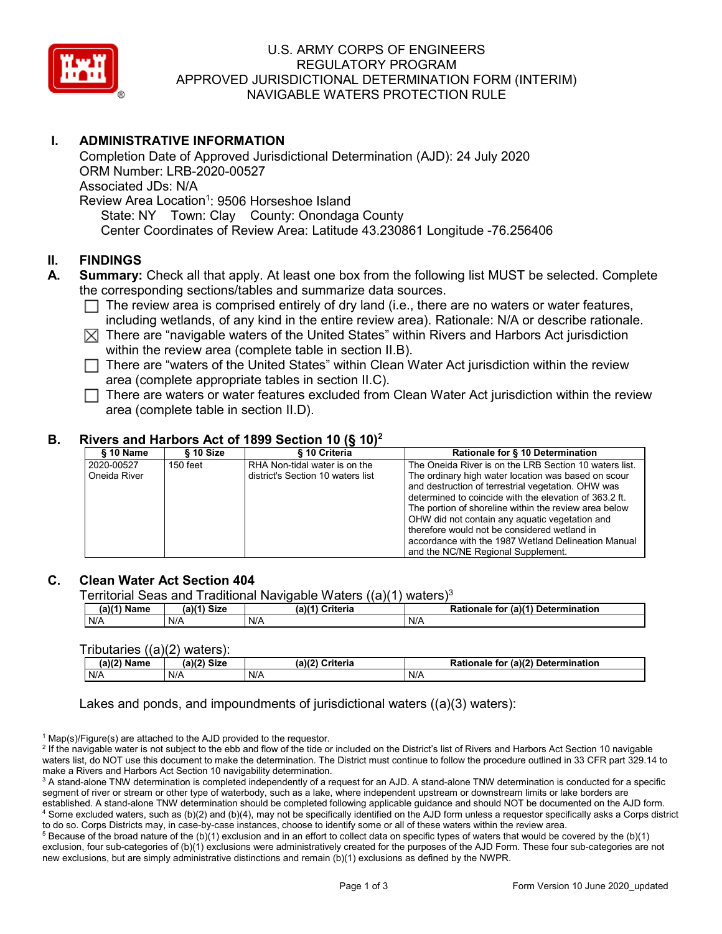

# U.S. ARMY CORPS OF ENGINEERS REGULATORY PROGRAM APPROVED JURISDICTIONAL DETERMINATION FORM (INTERIM) NAVIGABLE WATERS PROTECTION RULE

# **I. ADMINISTRATIVE INFORMATION**

Completion Date of Approved Jurisdictional Determination (AJD): 24 July 2020 ORM Number: LRB-2020-00527 Associated JDs: N/A Review Area Location<sup>1</sup>: 9506 Horseshoe Island State: NY Town: Clay County: Onondaga County Center Coordinates of Review Area: Latitude 43.230861 Longitude -76.256406

#### **II. FINDINGS**

- **A. Summary:** Check all that apply. At least one box from the following list MUST be selected. Complete the corresponding sections/tables and summarize data sources.
	- $\Box$  The review area is comprised entirely of dry land (i.e., there are no waters or water features, including wetlands, of any kind in the entire review area). Rationale: N/A or describe rationale.
	- $\boxtimes$  There are "navigable waters of the United States" within Rivers and Harbors Act jurisdiction within the review area (complete table in section II.B).
	- $\Box$  There are "waters of the United States" within Clean Water Act jurisdiction within the review area (complete appropriate tables in section II.C).
	- $\Box$  There are waters or water features excluded from Clean Water Act jurisdiction within the review area (complete table in section II.D).

#### **B. Rivers and Harbors Act of 1899 Section 10 (§ 10)2**

| $§ 10$ Name                | § 10 Size  | § 10 Criteria                                                      | Rationale for § 10 Determination                                                                                                                                                                                                                                                                                                                                                         |
|----------------------------|------------|--------------------------------------------------------------------|------------------------------------------------------------------------------------------------------------------------------------------------------------------------------------------------------------------------------------------------------------------------------------------------------------------------------------------------------------------------------------------|
| 2020-00527<br>Oneida River | $150$ feet | RHA Non-tidal water is on the<br>district's Section 10 waters list | The Oneida River is on the LRB Section 10 waters list.<br>The ordinary high water location was based on scour<br>and destruction of terrestrial vegetation. OHW was<br>determined to coincide with the elevation of 363.2 ft.<br>The portion of shoreline within the review area below<br>OHW did not contain any aquatic vegetation and<br>therefore would not be considered wetland in |
|                            |            |                                                                    | accordance with the 1987 Wetland Delineation Manual<br>and the NC/NE Regional Supplement.                                                                                                                                                                                                                                                                                                |

#### **C. Clean Water Act Section 404**

Territorial Seas and Traditional Navigable Waters  $((a)(1)$  waters)<sup>3</sup>

| $(a)(1)$ Name | Siz⊾<br>(a) | $(a)$ ( $\sim$<br>Criteria | (a)(1) Determination<br>Rationale<br>for |
|---------------|-------------|----------------------------|------------------------------------------|
| N/A           | N/A         | N/A                        | N/A                                      |

#### Tributaries ((a)(2) waters):

| (a)(2)<br>Name | $\sim$<br>$C^{\dagger}$<br>∵ JIZ⊌<br>. | (a)(2)<br>?riteria<br>- | (a)(2) Determination<br>Rationale<br>for |
|----------------|----------------------------------------|-------------------------|------------------------------------------|
| N/A            | N/A                                    | N/A                     | N/A                                      |

Lakes and ponds, and impoundments of jurisdictional waters ((a)(3) waters):

 $1$  Map(s)/Figure(s) are attached to the AJD provided to the requestor.

<sup>2</sup> If the navigable water is not subject to the ebb and flow of the tide or included on the District's list of Rivers and Harbors Act Section 10 navigable waters list, do NOT use this document to make the determination. The District must continue to follow the procedure outlined in 33 CFR part 329.14 to make a Rivers and Harbors Act Section 10 navigability determination.

 $5$  Because of the broad nature of the (b)(1) exclusion and in an effort to collect data on specific types of waters that would be covered by the (b)(1) exclusion, four sub-categories of (b)(1) exclusions were administratively created for the purposes of the AJD Form. These four sub-categories are not new exclusions, but are simply administrative distinctions and remain (b)(1) exclusions as defined by the NWPR.

<sup>&</sup>lt;sup>3</sup> A stand-alone TNW determination is completed independently of a request for an AJD. A stand-alone TNW determination is conducted for a specific segment of river or stream or other type of waterbody, such as a lake, where independent upstream or downstream limits or lake borders are established. A stand-alone TNW determination should be completed following applicable guidance and should NOT be documented on the AJD form. <sup>4</sup> Some excluded waters, such as (b)(2) and (b)(4), may not be specifically identified on the AJD form unless a requestor specifically asks a Corps district to do so. Corps Districts may, in case-by-case instances, choose to identify some or all of these waters within the review area.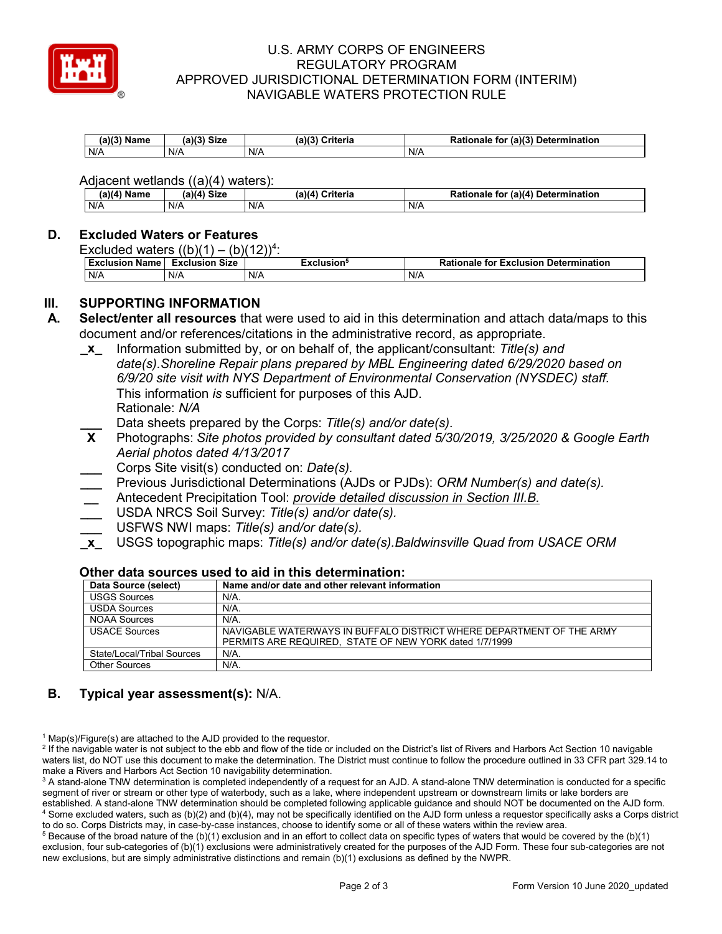

### U.S. ARMY CORPS OF ENGINEERS REGULATORY PROGRAM APPROVED JURISDICTIONAL DETERMINATION FORM (INTERIM) NAVIGABLE WATERS PROTECTION RULE

| (a)<br>Name | a)(3) Size | ۱۵۱.<br>$\sim$ $\sim$ $\sim$ $\sim$ $\sim$<br>ינטוונ. | (a)(3)<br><b>Detern</b><br>mination<br>tor<br>Rationale |
|-------------|------------|-------------------------------------------------------|---------------------------------------------------------|
| N/A         | N/A        | N/A                                                   | N/A                                                     |

Adjacent wetlands ((a)(4) waters):

| (a)(4) M<br>Name | (a)(4) Size | .<br>Criteria<br>(a)(4) | for (a)(4) Determination ﴿<br><b>Rationale</b> |
|------------------|-------------|-------------------------|------------------------------------------------|
| N/A              | N/A         | N/A                     | N/F                                            |

#### **D. Excluded Waters or Features**

Excluded waters  $((b)(1) - (b)(12))^4$ :

| <b>Exclusion Name</b> | <b>Size</b><br>Exclusion | :xclusion° | <b>Rationale for Exclusion Determination</b> |
|-----------------------|--------------------------|------------|----------------------------------------------|
| N/A                   | N/A                      | N/A        | N/F                                          |

### **III. SUPPORTING INFORMATION**

- **A. Select/enter all resources** that were used to aid in this determination and attach data/maps to this document and/or references/citations in the administrative record, as appropriate.
	- **\_x\_** Information submitted by, or on behalf of, the applicant/consultant: *Title(s) and date(s).Shoreline Repair plans prepared by MBL Engineering dated 6/29/2020 based on 6/9/20 site visit with NYS Department of Environmental Conservation (NYSDEC) staff.* This information *is* sufficient for purposes of this AJD. Rationale: *N/A*
	- **Data sheets prepared by the Corps: Title(s) and/or date(s).**<br>**X** Photographs: *Site photos provided by consultant dated 5/3*
	- **X** Photographs: *Site photos provided by consultant dated 5/30/2019, 3/25/2020 & Google Earth Aerial photos dated 4/13/2017*
	- **\_\_\_** Corps Site visit(s) conducted on: *Date(s).*
	- **\_\_\_** Previous Jurisdictional Determinations (AJDs or PJDs): *ORM Number(s) and date(s).*
	- **\_\_** Antecedent Precipitation Tool: *provide detailed discussion in Section III.B.*
	- **\_\_\_** USDA NRCS Soil Survey: *Title(s) and/or date(s).*
	- **\_\_\_** USFWS NWI maps: *Title(s) and/or date(s).*
	- **\_x\_** USGS topographic maps: *Title(s) and/or date(s).Baldwinsville Quad from USACE ORM*

| Data Source (select)       | Name and/or date and other relevant information                      |  |
|----------------------------|----------------------------------------------------------------------|--|
| <b>USGS Sources</b>        | N/A.                                                                 |  |
| <b>USDA Sources</b>        | N/A.                                                                 |  |
| <b>NOAA Sources</b>        | N/A.                                                                 |  |
| <b>USACE Sources</b>       | NAVIGABLE WATERWAYS IN BUFFALO DISTRICT WHERE DEPARTMENT OF THE ARMY |  |
|                            | PERMITS ARE REQUIRED. STATE OF NEW YORK dated 1/7/1999               |  |
| State/Local/Tribal Sources | $N/A$ .                                                              |  |
| <b>Other Sources</b>       | $N/A$ .                                                              |  |

# **Other data sources used to aid in this determination:**

# **B. Typical year assessment(s):** N/A.

 $1$  Map(s)/Figure(s) are attached to the AJD provided to the requestor.

<sup>2</sup> If the navigable water is not subject to the ebb and flow of the tide or included on the District's list of Rivers and Harbors Act Section 10 navigable waters list, do NOT use this document to make the determination. The District must continue to follow the procedure outlined in 33 CFR part 329.14 to make a Rivers and Harbors Act Section 10 navigability determination.

<sup>3</sup> A stand-alone TNW determination is completed independently of a request for an AJD. A stand-alone TNW determination is conducted for a specific segment of river or stream or other type of waterbody, such as a lake, where independent upstream or downstream limits or lake borders are established. A stand-alone TNW determination should be completed following applicable guidance and should NOT be documented on the AJD form. <sup>4</sup> Some excluded waters, such as (b)(2) and (b)(4), may not be specifically identified on the AJD form unless a requestor specifically asks a Corps district to do so. Corps Districts may, in case-by-case instances, choose to identify some or all of these waters within the review area.

 $5$  Because of the broad nature of the (b)(1) exclusion and in an effort to collect data on specific types of waters that would be covered by the (b)(1) exclusion, four sub-categories of (b)(1) exclusions were administratively created for the purposes of the AJD Form. These four sub-categories are not new exclusions, but are simply administrative distinctions and remain (b)(1) exclusions as defined by the NWPR.